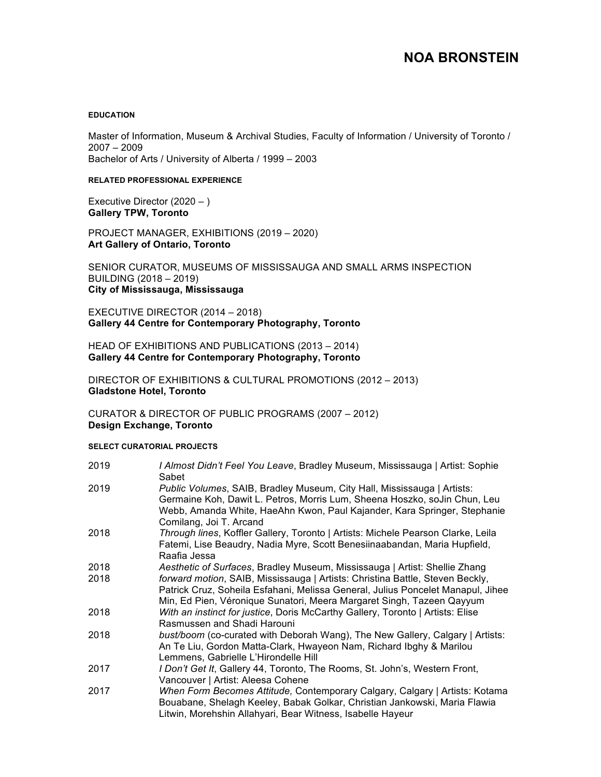# **NOA BRONSTEIN**

#### **EDUCATION**

Master of Information, Museum & Archival Studies, Faculty of Information / University of Toronto / 2007 – 2009 Bachelor of Arts / University of Alberta / 1999 – 2003

#### **RELATED PROFESSIONAL EXPERIENCE**

Executive Director (2020 – ) **Gallery TPW, Toronto** 

PROJECT MANAGER, EXHIBITIONS (2019 – 2020) **Art Gallery of Ontario, Toronto**

SENIOR CURATOR, MUSEUMS OF MISSISSAUGA AND SMALL ARMS INSPECTION BUILDING (2018 – 2019) **City of Mississauga, Mississauga** 

EXECUTIVE DIRECTOR (2014 – 2018) **Gallery 44 Centre for Contemporary Photography, Toronto** 

HEAD OF EXHIBITIONS AND PUBLICATIONS (2013 – 2014) **Gallery 44 Centre for Contemporary Photography, Toronto** 

DIRECTOR OF EXHIBITIONS & CULTURAL PROMOTIONS (2012 – 2013) **Gladstone Hotel, Toronto** 

CURATOR & DIRECTOR OF PUBLIC PROGRAMS (2007 – 2012) **Design Exchange, Toronto** 

### **SELECT CURATORIAL PROJECTS**

| 2019 | I Almost Didn't Feel You Leave, Bradley Museum, Mississauga   Artist: Sophie<br>Sabet                                                                                                                                                                       |
|------|-------------------------------------------------------------------------------------------------------------------------------------------------------------------------------------------------------------------------------------------------------------|
| 2019 | Public Volumes, SAIB, Bradley Museum, City Hall, Mississauga   Artists:<br>Germaine Koh, Dawit L. Petros, Morris Lum, Sheena Hoszko, soJin Chun, Leu<br>Webb, Amanda White, HaeAhn Kwon, Paul Kajander, Kara Springer, Stephanie<br>Comilang, Joi T. Arcand |
| 2018 | Through lines, Koffler Gallery, Toronto   Artists: Michele Pearson Clarke, Leila<br>Fatemi, Lise Beaudry, Nadia Myre, Scott Benesiinaabandan, Maria Hupfield,<br>Raafia Jessa                                                                               |
| 2018 | Aesthetic of Surfaces, Bradley Museum, Mississauga   Artist: Shellie Zhang                                                                                                                                                                                  |
| 2018 | forward motion, SAIB, Mississauga   Artists: Christina Battle, Steven Beckly,<br>Patrick Cruz, Soheila Esfahani, Melissa General, Julius Poncelet Manapul, Jihee<br>Min, Ed Pien, Véronique Sunatori, Meera Margaret Singh, Tazeen Qayyum                   |
| 2018 | With an instinct for justice, Doris McCarthy Gallery, Toronto   Artists: Elise<br>Rasmussen and Shadi Harouni                                                                                                                                               |
| 2018 | bust/boom (co-curated with Deborah Wang), The New Gallery, Calgary   Artists:<br>An Te Liu, Gordon Matta-Clark, Hwayeon Nam, Richard Ibghy & Marilou<br>Lemmens, Gabrielle L'Hirondelle Hill                                                                |
| 2017 | I Don't Get It, Gallery 44, Toronto, The Rooms, St. John's, Western Front,<br>Vancouver   Artist: Aleesa Cohene                                                                                                                                             |
| 2017 | When Form Becomes Attitude, Contemporary Calgary, Calgary   Artists: Kotama<br>Bouabane, Shelagh Keeley, Babak Golkar, Christian Jankowski, Maria Flawia<br>Litwin, Morehshin Allahyari, Bear Witness, Isabelle Hayeur                                      |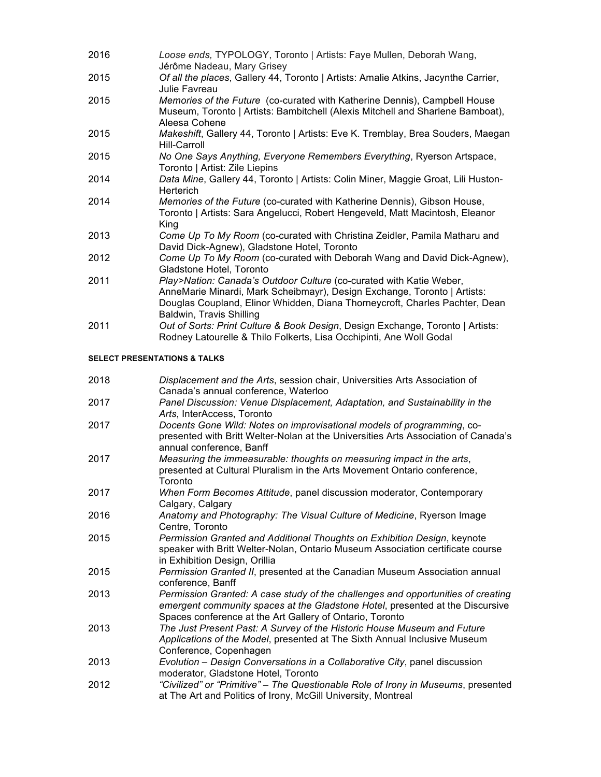- 2016 *Loose ends,* TYPOLOGY, Toronto | Artists: Faye Mullen, Deborah Wang, Jérôme Nadeau, Mary Grisey
- 2015 *Of all the places*, Gallery 44, Toronto | Artists: Amalie Atkins, Jacynthe Carrier, Julie Favreau
- 2015 *Memories of the Future* (co-curated with Katherine Dennis), Campbell House Museum, Toronto | Artists: Bambitchell (Alexis Mitchell and Sharlene Bamboat), Aleesa Cohene
- 2015 *Makeshift*, Gallery 44, Toronto | Artists: Eve K. Tremblay, Brea Souders, Maegan Hill-Carroll
- 2015 *No One Says Anything, Everyone Remembers Everything*, Ryerson Artspace, Toronto | Artist: Zile Liepins
- 2014 *Data Mine*, Gallery 44, Toronto | Artists: Colin Miner, Maggie Groat, Lili Huston-Herterich
- 2014 *Memories of the Future* (co-curated with Katherine Dennis), Gibson House, Toronto | Artists: Sara Angelucci, Robert Hengeveld, Matt Macintosh, Eleanor King
- 2013 *Come Up To My Room* (co-curated with Christina Zeidler, Pamila Matharu and David Dick-Agnew), Gladstone Hotel, Toronto
- 2012 *Come Up To My Room* (co-curated with Deborah Wang and David Dick-Agnew), Gladstone Hotel, Toronto
- 2011 *Play>Nation: Canada's Outdoor Culture* (co-curated with Katie Weber, AnneMarie Minardi, Mark Scheibmayr), Design Exchange, Toronto | Artists: Douglas Coupland, Elinor Whidden, Diana Thorneycroft, Charles Pachter, Dean Baldwin, Travis Shilling
- 2011 *Out of Sorts: Print Culture & Book Design*, Design Exchange, Toronto | Artists: Rodney Latourelle & Thilo Folkerts, Lisa Occhipinti, Ane Woll Godal

# **SELECT PRESENTATIONS & TALKS**

| 2018 | Displacement and the Arts, session chair, Universities Arts Association of<br>Canada's annual conference, Waterloo                                                                                                            |
|------|-------------------------------------------------------------------------------------------------------------------------------------------------------------------------------------------------------------------------------|
| 2017 | Panel Discussion: Venue Displacement, Adaptation, and Sustainability in the<br>Arts, InterAccess, Toronto                                                                                                                     |
| 2017 | Docents Gone Wild: Notes on improvisational models of programming, co-<br>presented with Britt Welter-Nolan at the Universities Arts Association of Canada's<br>annual conference, Banff                                      |
| 2017 | Measuring the immeasurable: thoughts on measuring impact in the arts,<br>presented at Cultural Pluralism in the Arts Movement Ontario conference,<br>Toronto                                                                  |
| 2017 | When Form Becomes Attitude, panel discussion moderator, Contemporary<br>Calgary, Calgary                                                                                                                                      |
| 2016 | Anatomy and Photography: The Visual Culture of Medicine, Ryerson Image<br>Centre, Toronto                                                                                                                                     |
| 2015 | Permission Granted and Additional Thoughts on Exhibition Design, keynote<br>speaker with Britt Welter-Nolan, Ontario Museum Association certificate course<br>in Exhibition Design, Orillia                                   |
| 2015 | Permission Granted II, presented at the Canadian Museum Association annual<br>conference, Banff                                                                                                                               |
| 2013 | Permission Granted: A case study of the challenges and opportunities of creating<br>emergent community spaces at the Gladstone Hotel, presented at the Discursive<br>Spaces conference at the Art Gallery of Ontario, Toronto |
| 2013 | The Just Present Past: A Survey of the Historic House Museum and Future<br>Applications of the Model, presented at The Sixth Annual Inclusive Museum<br>Conference, Copenhagen                                                |
| 2013 | Evolution - Design Conversations in a Collaborative City, panel discussion<br>moderator, Gladstone Hotel, Toronto                                                                                                             |
| 2012 | "Civilized" or "Primitive" - The Questionable Role of Irony in Museums, presented<br>at The Art and Politics of Irony, McGill University, Montreal                                                                            |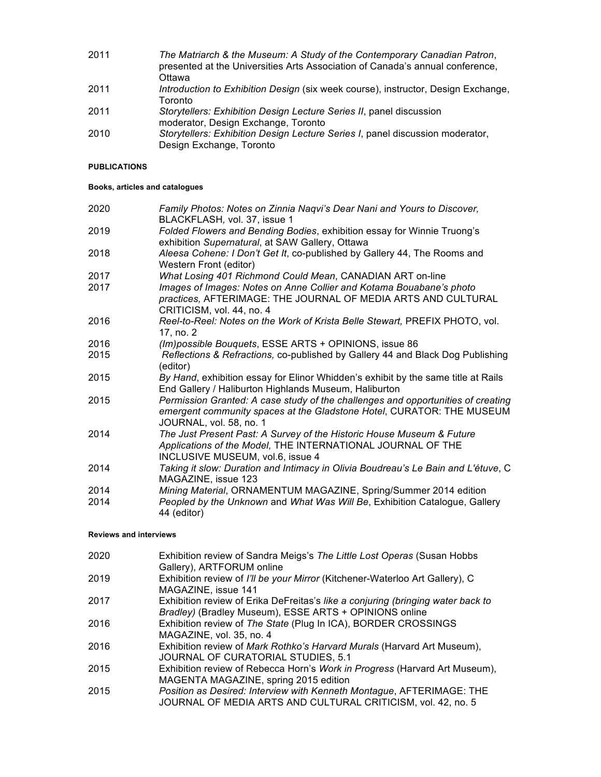- 2011 *The Matriarch & the Museum: A Study of the Contemporary Canadian Patron*, presented at the Universities Arts Association of Canada's annual conference, **Ottawa**
- 2011 *Introduction to Exhibition Design* (six week course), instructor, Design Exchange, Toronto
- 2011 *Storytellers: Exhibition Design Lecture Series II*, panel discussion moderator, Design Exchange, Toronto
- 2010 *Storytellers: Exhibition Design Lecture Series I*, panel discussion moderator, Design Exchange, Toronto

### **PUBLICATIONS**

### **Books, articles and catalogues**

| 2020 | Family Photos: Notes on Zinnia Naqvi's Dear Nani and Yours to Discover,<br>BLACKFLASH, vol. 37, issue 1                                                                              |
|------|--------------------------------------------------------------------------------------------------------------------------------------------------------------------------------------|
| 2019 | Folded Flowers and Bending Bodies, exhibition essay for Winnie Truong's<br>exhibition Supernatural, at SAW Gallery, Ottawa                                                           |
| 2018 | Aleesa Cohene: I Don't Get It, co-published by Gallery 44, The Rooms and<br>Western Front (editor)                                                                                   |
| 2017 | What Losing 401 Richmond Could Mean, CANADIAN ART on-line                                                                                                                            |
| 2017 | Images of Images: Notes on Anne Collier and Kotama Bouabane's photo<br>practices, AFTERIMAGE: THE JOURNAL OF MEDIA ARTS AND CULTURAL<br>CRITICISM, vol. 44, no. 4                    |
| 2016 | Reel-to-Reel: Notes on the Work of Krista Belle Stewart, PREFIX PHOTO, vol.<br>17, no. 2                                                                                             |
| 2016 | (Im) possible Bouquets, ESSE ARTS + OPINIONS, issue 86                                                                                                                               |
| 2015 | Reflections & Refractions, co-published by Gallery 44 and Black Dog Publishing<br>(editor)                                                                                           |
| 2015 | By Hand, exhibition essay for Elinor Whidden's exhibit by the same title at Rails<br>End Gallery / Haliburton Highlands Museum, Haliburton                                           |
| 2015 | Permission Granted: A case study of the challenges and opportunities of creating<br>emergent community spaces at the Gladstone Hotel, CURATOR: THE MUSEUM<br>JOURNAL, vol. 58, no. 1 |
| 2014 | The Just Present Past: A Survey of the Historic House Museum & Future<br>Applications of the Model, THE INTERNATIONAL JOURNAL OF THE<br>INCLUSIVE MUSEUM, vol.6, issue 4             |
| 2014 | Taking it slow: Duration and Intimacy in Olivia Boudreau's Le Bain and L'étuve, C<br>MAGAZINE, issue 123                                                                             |
| 2014 | Mining Material, ORNAMENTUM MAGAZINE, Spring/Summer 2014 edition                                                                                                                     |
| 2014 | Peopled by the Unknown and What Was Will Be, Exhibition Catalogue, Gallery<br>44 (editor)                                                                                            |

### **Reviews and interviews**

| 2020 | Exhibition review of Sandra Meigs's The Little Lost Operas (Susan Hobbs<br>Gallery), ARTFORUM online                                  |
|------|---------------------------------------------------------------------------------------------------------------------------------------|
| 2019 | Exhibition review of I'll be your Mirror (Kitchener-Waterloo Art Gallery), C<br>MAGAZINE, issue 141                                   |
| 2017 | Exhibition review of Erika DeFreitas's like a conjuring (bringing water back to                                                       |
| 2016 | Bradley) (Bradley Museum), ESSE ARTS + OPINIONS online<br>Exhibition review of The State (Plug In ICA), BORDER CROSSINGS              |
| 2016 | MAGAZINE, vol. 35, no. 4<br>Exhibition review of Mark Rothko's Harvard Murals (Harvard Art Museum),                                   |
|      | JOURNAL OF CURATORIAL STUDIES, 5.1                                                                                                    |
| 2015 | Exhibition review of Rebecca Horn's Work in Progress (Harvard Art Museum),<br>MAGENTA MAGAZINE, spring 2015 edition                   |
| 2015 | Position as Desired: Interview with Kenneth Montague, AFTERIMAGE: THE<br>JOURNAL OF MEDIA ARTS AND CULTURAL CRITICISM, vol. 42, no. 5 |